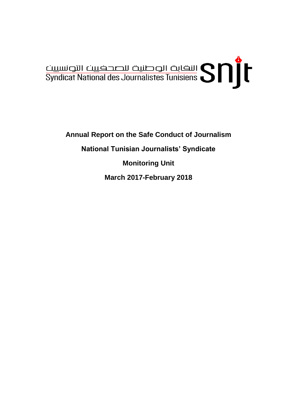

**Annual Report on the Safe Conduct of Journalism National Tunisian Journalists' Syndicate Monitoring Unit March 2017-February 2018**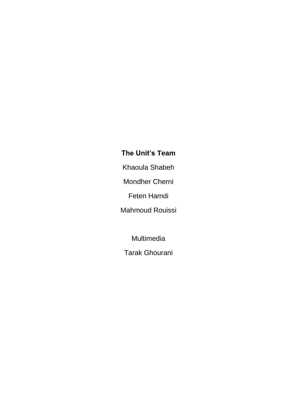# **The Unit's Team**

Khaoula Shabeh

Mondher Cherni

Feten Hamdi

Mahmoud Rouissi

Multimedia

Tarak Ghourani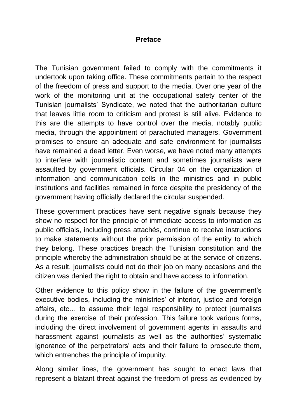#### **Preface**

The Tunisian government failed to comply with the commitments it undertook upon taking office. These commitments pertain to the respect of the freedom of press and support to the media. Over one year of the work of the monitoring unit at the occupational safety center of the Tunisian journalists' Syndicate, we noted that the authoritarian culture that leaves little room to criticism and protest is still alive. Evidence to this are the attempts to have control over the media, notably public media, through the appointment of parachuted managers. Government promises to ensure an adequate and safe environment for journalists have remained a dead letter. Even worse, we have noted many attempts to interfere with journalistic content and sometimes journalists were assaulted by government officials. Circular 04 on the organization of information and communication cells in the ministries and in public institutions and facilities remained in force despite the presidency of the government having officially declared the circular suspended.

These government practices have sent negative signals because they show no respect for the principle of immediate access to information as public officials, including press attachés, continue to receive instructions to make statements without the prior permission of the entity to which they belong. These practices breach the Tunisian constitution and the principle whereby the administration should be at the service of citizens. As a result, journalists could not do their job on many occasions and the citizen was denied the right to obtain and have access to information.

Other evidence to this policy show in the failure of the government's executive bodies, including the ministries' of interior, justice and foreign affairs, etc… to assume their legal responsibility to protect journalists during the exercise of their profession. This failure took various forms, including the direct involvement of government agents in assaults and harassment against journalists as well as the authorities' systematic ignorance of the perpetrators' acts and their failure to prosecute them, which entrenches the principle of impunity.

Along similar lines, the government has sought to enact laws that represent a blatant threat against the freedom of press as evidenced by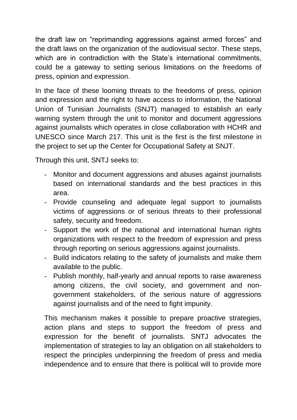the draft law on "reprimanding aggressions against armed forces" and the draft laws on the organization of the audiovisual sector. These steps, which are in contradiction with the State's international commitments, could be a gateway to setting serious limitations on the freedoms of press, opinion and expression.

In the face of these looming threats to the freedoms of press, opinion and expression and the right to have access to information, the National Union of Tunisian Journalists (SNJT) managed to establish an early warning system through the unit to monitor and document aggressions against journalists which operates in close collaboration with HCHR and UNESCO since March 217. This unit is the first is the first milestone in the project to set up the Center for Occupational Safety at SNJT.

Through this unit, SNTJ seeks to:

- Monitor and document aggressions and abuses against journalists based on international standards and the best practices in this area.
- Provide counseling and adequate legal support to journalists victims of aggressions or of serious threats to their professional safety, security and freedom.
- Support the work of the national and international human rights organizations with respect to the freedom of expression and press through reporting on serious aggressions against journalists.
- Build indicators relating to the safety of journalists and make them available to the public.
- Publish monthly, half-yearly and annual reports to raise awareness among citizens, the civil society, and government and nongovernment stakeholders, of the serious nature of aggressions against journalists and of the need to fight impunity.

This mechanism makes it possible to prepare proactive strategies, action plans and steps to support the freedom of press and expression for the benefit of journalists. SNTJ advocates the implementation of strategies to lay an obligation on all stakeholders to respect the principles underpinning the freedom of press and media independence and to ensure that there is political will to provide more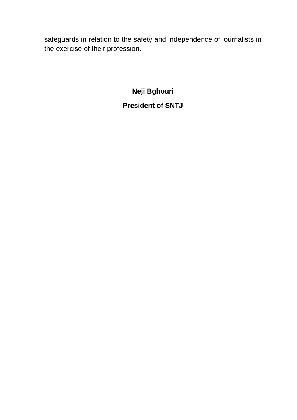safeguards in relation to the safety and independence of journalists in the exercise of their profession.

**Neji Bghouri**

**President of SNTJ**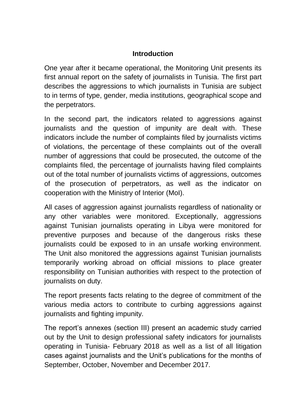### **Introduction**

One year after it became operational, the Monitoring Unit presents its first annual report on the safety of journalists in Tunisia. The first part describes the aggressions to which journalists in Tunisia are subject to in terms of type, gender, media institutions, geographical scope and the perpetrators.

In the second part, the indicators related to aggressions against journalists and the question of impunity are dealt with. These indicators include the number of complaints filed by journalists victims of violations, the percentage of these complaints out of the overall number of aggressions that could be prosecuted, the outcome of the complaints filed, the percentage of journalists having filed complaints out of the total number of journalists victims of aggressions, outcomes of the prosecution of perpetrators, as well as the indicator on cooperation with the Ministry of Interior (MoI).

All cases of aggression against journalists regardless of nationality or any other variables were monitored. Exceptionally, aggressions against Tunisian journalists operating in Libya were monitored for preventive purposes and because of the dangerous risks these journalists could be exposed to in an unsafe working environment. The Unit also monitored the aggressions against Tunisian journalists temporarily working abroad on official missions to place greater responsibility on Tunisian authorities with respect to the protection of journalists on duty.

The report presents facts relating to the degree of commitment of the various media actors to contribute to curbing aggressions against journalists and fighting impunity.

The report's annexes (section III) present an academic study carried out by the Unit to design professional safety indicators for journalists operating in Tunisia- February 2018 as well as a list of all litigation cases against journalists and the Unit's publications for the months of September, October, November and December 2017.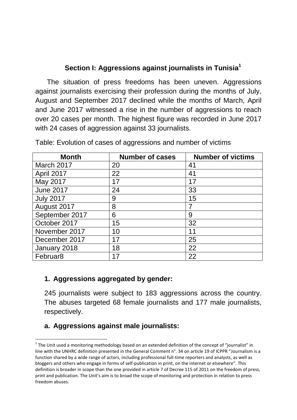## **Section I: Aggressions against journalists in Tunisia<sup>1</sup>**

 The situation of press freedoms has been uneven. Aggressions against journalists exercising their profession during the months of July, August and September 2017 declined while the months of March, April and June 2017 witnessed a rise in the number of aggressions to reach over 20 cases per month. The highest figure was recorded in June 2017 with 24 cases of aggression against 33 journalists.

| <b>Month</b>         | <b>Number of cases</b> | <b>Number of victims</b> |
|----------------------|------------------------|--------------------------|
| March 2017           | 20                     | 41                       |
| April 2017           | 22                     | 41                       |
| May 2017             | 17                     | 17                       |
| <b>June 2017</b>     | 24                     | 33                       |
| <b>July 2017</b>     | 9                      | 15                       |
| August 2017          | 8                      |                          |
| September 2017       | 6                      | 9                        |
| October 2017         | 15                     | 32                       |
| November 2017        | 10                     | 11                       |
| December 2017        | 17                     | 25                       |
| January 2018         | 18                     | 22                       |
| Februar <sub>8</sub> |                        | 22                       |

Table: Evolution of cases of aggressions and number of victims

### **1. Aggressions aggregated by gender:**

245 journalists were subject to 183 aggressions across the country. The abuses targeted 68 female journalists and 177 male journalists, respectively.

## **a. Aggressions against male journalists:**

1

 $1$  The Unit used a monitoring methodology based on an extended definition of the concept of "journalist" in line with the UNHRC definition presented in the General Comment n°. 34 on article 19 of ICPPR "Journalism is a function shared by a wide range of actors, including professional full-time reporters and analysts, as well as bloggers and others who engage in forms of self-publication in print, on the internet or elsewhere". This definition is broader in scope than the one provided in article 7 of Decree 115 of 2011 on the freedom of press, print and publication. The Unit's aim is to broad the scope of monitoring and protection in relation to press freedom abuses.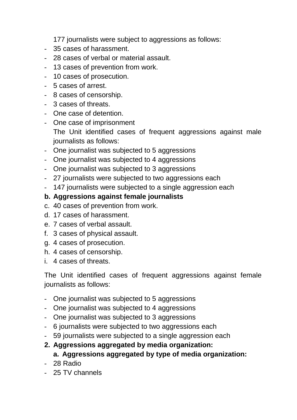177 journalists were subject to aggressions as follows:

- 35 cases of harassment.
- 28 cases of verbal or material assault.
- 13 cases of prevention from work.
- 10 cases of prosecution.
- 5 cases of arrest.
- 8 cases of censorship.
- 3 cases of threats.
- One case of detention.
- One case of imprisonment

The Unit identified cases of frequent aggressions against male journalists as follows:

- One journalist was subjected to 5 aggressions
- One journalist was subjected to 4 aggressions
- One journalist was subjected to 3 aggressions
- 27 journalists were subjected to two aggressions each
- 147 journalists were subjected to a single aggression each

## **b. Aggressions against female journalists**

- c. 40 cases of prevention from work.
- d. 17 cases of harassment.
- e. 7 cases of verbal assault.
- f. 3 cases of physical assault.
- g. 4 cases of prosecution.
- h. 4 cases of censorship.
- i. 4 cases of threats.

The Unit identified cases of frequent aggressions against female journalists as follows:

- One journalist was subjected to 5 aggressions
- One journalist was subjected to 4 aggressions
- One journalist was subjected to 3 aggressions
- 6 journalists were subjected to two aggressions each
- 59 journalists were subjected to a single aggression each
- **2. Aggressions aggregated by media organization:**

### **a. Aggressions aggregated by type of media organization:**

- 28 Radio
- 25 TV channels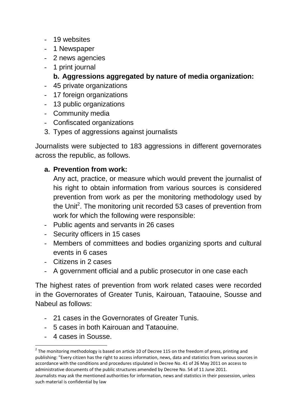- 19 websites
- 1 Newspaper
- 2 news agencies
- 1 print journal

## **b. Aggressions aggregated by nature of media organization:**

- 45 private organizations
- 17 foreign organizations
- 13 public organizations
- Community media
- Confiscated organizations
- 3. Types of aggressions against journalists

Journalists were subjected to 183 aggressions in different governorates across the republic, as follows.

## **a. Prevention from work:**

Any act, practice, or measure which would prevent the journalist of his right to obtain information from various sources is considered prevention from work as per the monitoring methodology used by the Unit<sup>2</sup>. The monitoring unit recorded 53 cases of prevention from work for which the following were responsible:

- Public agents and servants in 26 cases
- Security officers in 15 cases
- Members of committees and bodies organizing sports and cultural events in 6 cases
- Citizens in 2 cases
- A government official and a public prosecutor in one case each

The highest rates of prevention from work related cases were recorded in the Governorates of Greater Tunis, Kairouan, Tataouine, Sousse and Nabeul as follows:

- 21 cases in the Governorates of Greater Tunis.
- 5 cases in both Kairouan and Tataouine.
- 4 cases in Sousse.

**.** 

 $2$  The monitoring methodology is based on article 10 of Decree 115 on the freedom of press, printing and publishing: "Every citizen has the right to access information, news, data and statistics from various sources in accordance with the conditions and procedures stipulated in Decree No. 41 of 26 May 2011 on access to administrative documents of the public structures amended by Decree No. 54 of 11 June 2011. Journalists may ask the mentioned authorities for information, news and statistics in their possession, unless such material is confidential by law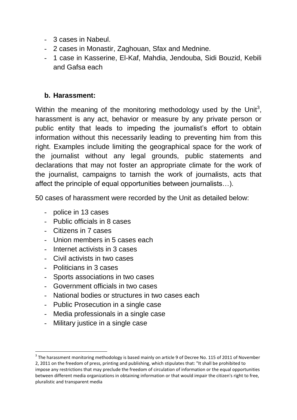- 3 cases in Nabeul.
- 2 cases in Monastir, Zaghouan, Sfax and Mednine.
- 1 case in Kasserine, El-Kaf, Mahdia, Jendouba, Sidi Bouzid, Kebili and Gafsa each

#### **b. Harassment:**

Within the meaning of the monitoring methodology used by the Unit<sup>3</sup>, harassment is any act, behavior or measure by any private person or public entity that leads to impeding the journalist's effort to obtain information without this necessarily leading to preventing him from this right. Examples include limiting the geographical space for the work of the journalist without any legal grounds, public statements and declarations that may not foster an appropriate climate for the work of the journalist, campaigns to tarnish the work of journalists, acts that affect the principle of equal opportunities between journalists…).

50 cases of harassment were recorded by the Unit as detailed below:

- police in 13 cases
- Public officials in 8 cases
- Citizens in 7 cases
- Union members in 5 cases each
- Internet activists in 3 cases
- Civil activists in two cases
- Politicians in 3 cases

**.** 

- Sports associations in two cases
- Government officials in two cases
- National bodies or structures in two cases each
- Public Prosecution in a single case
- Media professionals in a single case
- Military justice in a single case

 $3$  The harassment monitoring methodology is based mainly on article 9 of Decree No. 115 of 2011 of November 2, 2011 on the freedom of press, printing and publishing, which stipulates that: "It shall be prohibited to impose any restrictions that may preclude the freedom of circulation of information or the equal opportunities between different media organizations in obtaining information or that would impair the citizen's right to free, pluralistic and transparent media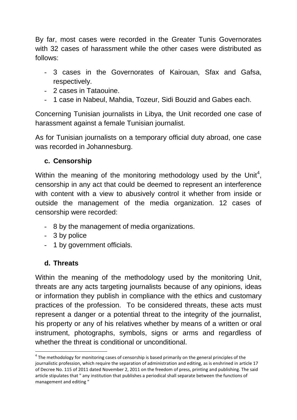By far, most cases were recorded in the Greater Tunis Governorates with 32 cases of harassment while the other cases were distributed as follows:

- 3 cases in the Governorates of Kairouan, Sfax and Gafsa, respectively.
- 2 cases in Tataouine.
- 1 case in Nabeul, Mahdia, Tozeur, Sidi Bouzid and Gabes each.

Concerning Tunisian journalists in Libya, the Unit recorded one case of harassment against a female Tunisian journalist.

As for Tunisian journalists on a temporary official duty abroad, one case was recorded in Johannesburg.

## **c. Censorship**

Within the meaning of the monitoring methodology used by the Unit<sup>4</sup>, censorship in any act that could be deemed to represent an interference with content with a view to abusively control it whether from inside or outside the management of the media organization. 12 cases of censorship were recorded:

- 8 by the management of media organizations.
- 3 by police
- 1 by government officials.

## **d. Threats**

**.** 

Within the meaning of the methodology used by the monitoring Unit, threats are any acts targeting journalists because of any opinions, ideas or information they publish in compliance with the ethics and customary practices of the profession. To be considered threats, these acts must represent a danger or a potential threat to the integrity of the journalist, his property or any of his relatives whether by means of a written or oral instrument, photographs, symbols, signs or arms and regardless of whether the threat is conditional or unconditional.

 $^4$  The methodology for monitoring cases of censorship is based primarily on the general principles of the journalistic profession, which require the separation of administration and editing, as is enshrined in article 17 of Decree No. 115 of 2011 dated November 2, 2011 on the freedom of press, printing and publishing. The said article stipulates that " any institution that publishes a periodical shall separate between the functions of management and editing "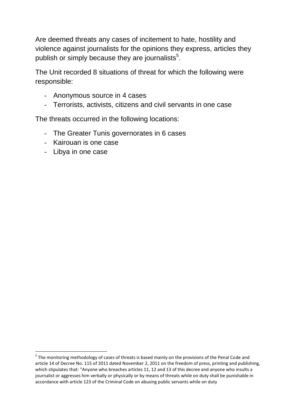Are deemed threats any cases of incitement to hate, hostility and violence against journalists for the opinions they express, articles they publish or simply because they are journalists $5$ .

The Unit recorded 8 situations of threat for which the following were responsible:

- Anonymous source in 4 cases
- Terrorists, activists, citizens and civil servants in one case

The threats occurred in the following locations:

- The Greater Tunis governorates in 6 cases
- Kairouan is one case
- Libya in one case

**.** 

<sup>&</sup>lt;sup>5</sup> The monitoring methodology of cases of threats is based mainly on the provisions of the Penal Code and article 14 of Decree No. 115 of 2011 dated November 2, 2011 on the freedom of press, printing and publishing, which stipulates that: "Anyone who breaches articles 11, 12 and 13 of this decree and anyone who insults a journalist or aggresses him verbally or physically or by means of threats while on duty shall be punishable in accordance with article 123 of the Criminal Code on abusing public servants while on duty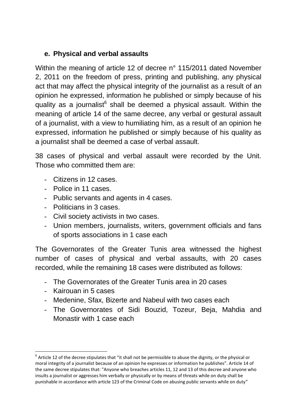## **e. Physical and verbal assaults**

Within the meaning of article 12 of decree n° 115/2011 dated November 2, 2011 on the freedom of press, printing and publishing, any physical act that may affect the physical integrity of the journalist as a result of an opinion he expressed, information he published or simply because of his quality as a journalist<sup>6</sup> shall be deemed a physical assault. Within the meaning of article 14 of the same decree, any verbal or gestural assault of a journalist, with a view to humiliating him, as a result of an opinion he expressed, information he published or simply because of his quality as a journalist shall be deemed a case of verbal assault.

38 cases of physical and verbal assault were recorded by the Unit. Those who committed them are:

- Citizens in 12 cases.
- Police in 11 cases.
- Public servants and agents in 4 cases.
- Politicians in 3 cases.
- Civil society activists in two cases.
- Union members, journalists, writers, government officials and fans of sports associations in 1 case each

The Governorates of the Greater Tunis area witnessed the highest number of cases of physical and verbal assaults, with 20 cases recorded, while the remaining 18 cases were distributed as follows:

- The Governorates of the Greater Tunis area in 20 cases
- Kairouan in 5 cases
- Medenine, Sfax, Bizerte and Nabeul with two cases each
- The Governorates of Sidi Bouzid, Tozeur, Beja, Mahdia and Monastir with 1 case each

**<sup>.</sup>**  $^6$  Article 12 of the decree stipulates that "it shall not be permissible to abuse the dignity, or the physical or moral integrity of a journalist because of an opinion he expresses or information he publishes". Article 14 of the same decree stipulates that: "Anyone who breaches articles 11, 12 and 13 of this decree and anyone who insults a journalist or aggresses him verbally or physically or by means of threats while on duty shall be punishable in accordance with article 123 of the Criminal Code on abusing public servants while on duty"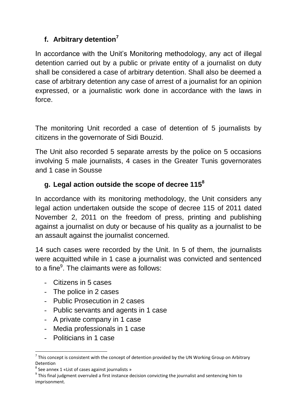# **f. Arbitrary detention<sup>7</sup>**

In accordance with the Unit's Monitoring methodology, any act of illegal detention carried out by a public or private entity of a journalist on duty shall be considered a case of arbitrary detention. Shall also be deemed a case of arbitrary detention any case of arrest of a journalist for an opinion expressed, or a journalistic work done in accordance with the laws in force.

The monitoring Unit recorded a case of detention of 5 journalists by citizens in the governorate of Sidi Bouzid.

The Unit also recorded 5 separate arrests by the police on 5 occasions involving 5 male journalists, 4 cases in the Greater Tunis governorates and 1 case in Sousse

# **g. Legal action outside the scope of decree 115<sup>8</sup>**

In accordance with its monitoring methodology, the Unit considers any legal action undertaken outside the scope of decree 115 of 2011 dated November 2, 2011 on the freedom of press, printing and publishing against a journalist on duty or because of his quality as a journalist to be an assault against the journalist concerned.

14 such cases were recorded by the Unit. In 5 of them, the journalists were acquitted while in 1 case a journalist was convicted and sentenced to a fine<sup>9</sup>. The claimants were as follows:

- Citizens in 5 cases
- The police in 2 cases
- Public Prosecution in 2 cases
- Public servants and agents in 1 case
- A private company in 1 case
- Media professionals in 1 case
- Politicians in 1 case

**.** 

 $^7$  This concept is consistent with the concept of detention provided by the UN Working Group on Arbitrary Detention

 $^8$  See annex 1 «List of cases against journalists »

 $9$  This final judgment overruled a first instance decision convicting the journalist and sentencing him to imprisonment.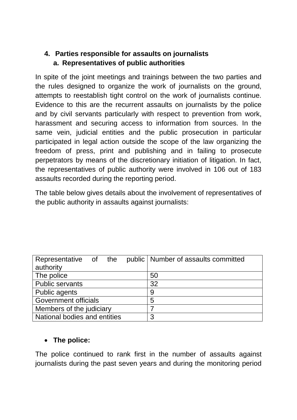## **4. Parties responsible for assaults on journalists a. Representatives of public authorities**

In spite of the joint meetings and trainings between the two parties and the rules designed to organize the work of journalists on the ground, attempts to reestablish tight control on the work of journalists continue. Evidence to this are the recurrent assaults on journalists by the police and by civil servants particularly with respect to prevention from work, harassment and securing access to information from sources. In the same vein, judicial entities and the public prosecution in particular participated in legal action outside the scope of the law organizing the freedom of press, print and publishing and in failing to prosecute perpetrators by means of the discretionary initiation of litigation. In fact, the representatives of public authority were involved in 106 out of 183 assaults recorded during the reporting period.

The table below gives details about the involvement of representatives of the public authority in assaults against journalists:

| Representative of the        |  |  | public   Number of assaults committed |
|------------------------------|--|--|---------------------------------------|
| authority                    |  |  |                                       |
| The police                   |  |  | 50                                    |
| <b>Public servants</b>       |  |  | 32                                    |
| Public agents                |  |  | 9                                     |
| <b>Government officials</b>  |  |  | 5                                     |
| Members of the judiciary     |  |  |                                       |
| National bodies and entities |  |  | 3                                     |

### **The police:**

The police continued to rank first in the number of assaults against journalists during the past seven years and during the monitoring period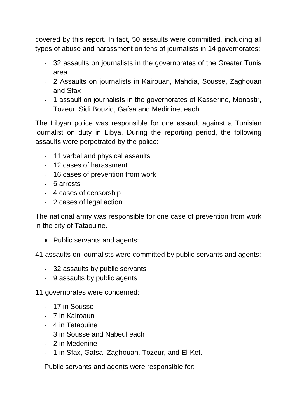covered by this report. In fact, 50 assaults were committed, including all types of abuse and harassment on tens of journalists in 14 governorates:

- 32 assaults on journalists in the governorates of the Greater Tunis area.
- 2 Assaults on journalists in Kairouan, Mahdia, Sousse, Zaghouan and Sfax
- 1 assault on journalists in the governorates of Kasserine, Monastir, Tozeur, Sidi Bouzid, Gafsa and Medinine, each.

The Libyan police was responsible for one assault against a Tunisian journalist on duty in Libya. During the reporting period, the following assaults were perpetrated by the police:

- 11 verbal and physical assaults
- 12 cases of harassment
- 16 cases of prevention from work
- 5 arrests
- 4 cases of censorship
- 2 cases of legal action

The national army was responsible for one case of prevention from work in the city of Tataouine.

• Public servants and agents:

41 assaults on journalists were committed by public servants and agents:

- 32 assaults by public servants
- 9 assaults by public agents

11 governorates were concerned:

- 17 in Sousse
- 7 in Kairoaun
- 4 in Tataouine
- 3 in Sousse and Nabeul each
- 2 in Medenine
- 1 in Sfax, Gafsa, Zaghouan, Tozeur, and El-Kef.

Public servants and agents were responsible for: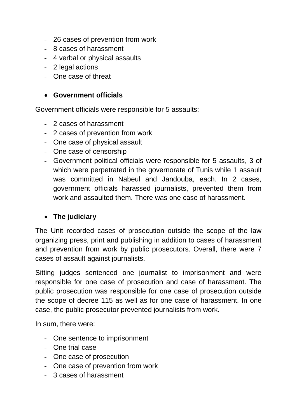- 26 cases of prevention from work
- 8 cases of harassment
- 4 verbal or physical assaults
- 2 legal actions
- One case of threat

#### **Government officials**

Government officials were responsible for 5 assaults:

- 2 cases of harassment
- 2 cases of prevention from work
- One case of physical assault
- One case of censorship
- Government political officials were responsible for 5 assaults, 3 of which were perpetrated in the governorate of Tunis while 1 assault was committed in Nabeul and Jandouba, each. In 2 cases, government officials harassed journalists, prevented them from work and assaulted them. There was one case of harassment.

#### **The judiciary**

The Unit recorded cases of prosecution outside the scope of the law organizing press, print and publishing in addition to cases of harassment and prevention from work by public prosecutors. Overall, there were 7 cases of assault against journalists.

Sitting judges sentenced one journalist to imprisonment and were responsible for one case of prosecution and case of harassment. The public prosecution was responsible for one case of prosecution outside the scope of decree 115 as well as for one case of harassment. In one case, the public prosecutor prevented journalists from work.

In sum, there were:

- One sentence to imprisonment
- One trial case
- One case of prosecution
- One case of prevention from work
- 3 cases of harassment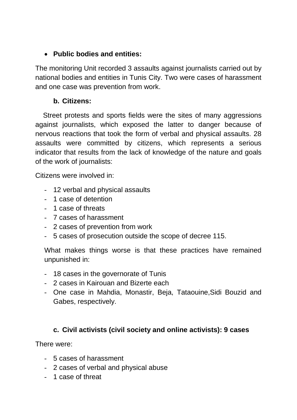### **Public bodies and entities:**

The monitoring Unit recorded 3 assaults against journalists carried out by national bodies and entities in Tunis City. Two were cases of harassment and one case was prevention from work.

#### **b. Citizens:**

 Street protests and sports fields were the sites of many aggressions against journalists, which exposed the latter to danger because of nervous reactions that took the form of verbal and physical assaults. 28 assaults were committed by citizens, which represents a serious indicator that results from the lack of knowledge of the nature and goals of the work of journalists:

Citizens were involved in:

- 12 verbal and physical assaults
- 1 case of detention
- 1 case of threats
- 7 cases of harassment
- 2 cases of prevention from work
- 5 cases of prosecution outside the scope of decree 115.

What makes things worse is that these practices have remained unpunished in:

- 18 cases in the governorate of Tunis
- 2 cases in Kairouan and Bizerte each
- One case in Mahdia, Monastir, Beja, Tataouine,Sidi Bouzid and Gabes, respectively.

## **c. Civil activists (civil society and online activists): 9 cases**

There were:

- 5 cases of harassment
- 2 cases of verbal and physical abuse
- 1 case of threat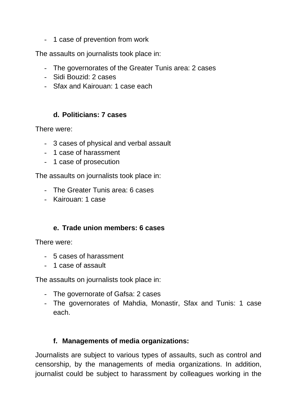- 1 case of prevention from work

The assaults on journalists took place in:

- The governorates of the Greater Tunis area: 2 cases
- Sidi Bouzid: 2 cases
- Sfax and Kairouan: 1 case each

#### **d. Politicians: 7 cases**

There were:

- 3 cases of physical and verbal assault
- 1 case of harassment
- 1 case of prosecution

The assaults on journalists took place in:

- The Greater Tunis area: 6 cases
- Kairouan: 1 case

#### **e. Trade union members: 6 cases**

There were:

- 5 cases of harassment
- 1 case of assault

The assaults on journalists took place in:

- The governorate of Gafsa: 2 cases
- The governorates of Mahdia, Monastir, Sfax and Tunis: 1 case each.

### **f. Managements of media organizations:**

Journalists are subject to various types of assaults, such as control and censorship, by the managements of media organizations. In addition, journalist could be subject to harassment by colleagues working in the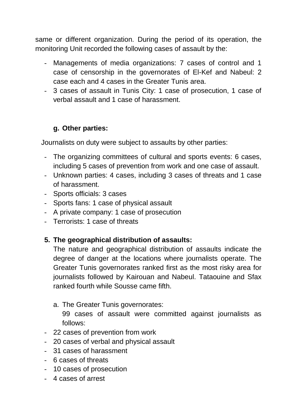same or different organization. During the period of its operation, the monitoring Unit recorded the following cases of assault by the:

- Managements of media organizations: 7 cases of control and 1 case of censorship in the governorates of El-Kef and Nabeul: 2 case each and 4 cases in the Greater Tunis area.
- 3 cases of assault in Tunis City: 1 case of prosecution, 1 case of verbal assault and 1 case of harassment.

## **g. Other parties:**

Journalists on duty were subject to assaults by other parties:

- The organizing committees of cultural and sports events: 6 cases, including 5 cases of prevention from work and one case of assault.
- Unknown parties: 4 cases, including 3 cases of threats and 1 case of harassment.
- Sports officials: 3 cases
- Sports fans: 1 case of physical assault
- A private company: 1 case of prosecution
- Terrorists: 1 case of threats

### **5. The geographical distribution of assaults:**

The nature and geographical distribution of assaults indicate the degree of danger at the locations where journalists operate. The Greater Tunis governorates ranked first as the most risky area for journalists followed by Kairouan and Nabeul. Tataouine and Sfax ranked fourth while Sousse came fifth.

a. The Greater Tunis governorates:

99 cases of assault were committed against journalists as follows:

- 22 cases of prevention from work
- 20 cases of verbal and physical assault
- 31 cases of harassment
- 6 cases of threats
- 10 cases of prosecution
- 4 cases of arrest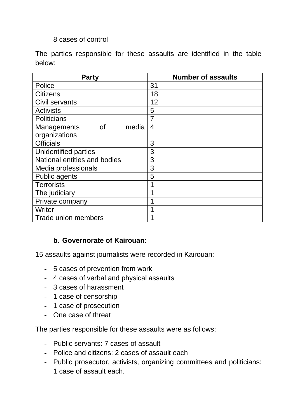- 8 cases of control

The parties responsible for these assaults are identified in the table below:

| <b>Party</b>                             | <b>Number of assaults</b> |
|------------------------------------------|---------------------------|
| Police                                   | 31                        |
| <b>Citizens</b>                          | 18                        |
| Civil servants                           | 12                        |
| <b>Activists</b>                         | 5                         |
| Politicians                              |                           |
| <b>Managements</b><br><b>of</b><br>media | 4                         |
| organizations                            |                           |
| <b>Officials</b>                         | 3                         |
| Unidentified parties                     | 3                         |
| National entities and bodies             | 3                         |
| Media professionals                      | 3                         |
| Public agents                            | 5                         |
| <b>Terrorists</b>                        |                           |
| The judiciary                            |                           |
| Private company                          |                           |
| Writer                                   |                           |
| <b>Trade union members</b>               |                           |

### **b. Governorate of Kairouan:**

15 assaults against journalists were recorded in Kairouan:

- 5 cases of prevention from work
- 4 cases of verbal and physical assaults
- 3 cases of harassment
- 1 case of censorship
- 1 case of prosecution
- One case of threat

The parties responsible for these assaults were as follows:

- Public servants: 7 cases of assault
- Police and citizens: 2 cases of assault each
- Public prosecutor, activists, organizing committees and politicians: 1 case of assault each.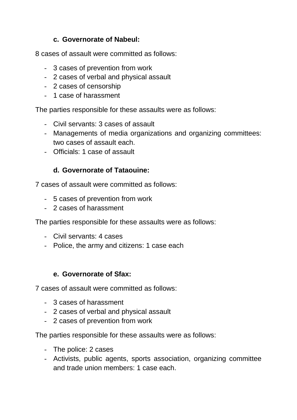## **c. Governorate of Nabeul:**

8 cases of assault were committed as follows:

- 3 cases of prevention from work
- 2 cases of verbal and physical assault
- 2 cases of censorship
- 1 case of harassment

The parties responsible for these assaults were as follows:

- Civil servants: 3 cases of assault
- Managements of media organizations and organizing committees: two cases of assault each.
- Officials: 1 case of assault

## **d. Governorate of Tataouine:**

7 cases of assault were committed as follows:

- 5 cases of prevention from work
- 2 cases of harassment

The parties responsible for these assaults were as follows:

- Civil servants: 4 cases
- Police, the army and citizens: 1 case each

### **e. Governorate of Sfax:**

7 cases of assault were committed as follows:

- 3 cases of harassment
- 2 cases of verbal and physical assault
- 2 cases of prevention from work

The parties responsible for these assaults were as follows:

- The police: 2 cases
- Activists, public agents, sports association, organizing committee and trade union members: 1 case each.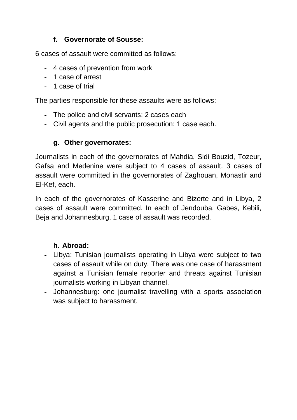## **f. Governorate of Sousse:**

6 cases of assault were committed as follows:

- 4 cases of prevention from work
- 1 case of arrest
- 1 case of trial

The parties responsible for these assaults were as follows:

- The police and civil servants: 2 cases each
- Civil agents and the public prosecution: 1 case each.

## **g. Other governorates:**

Journalists in each of the governorates of Mahdia, Sidi Bouzid, Tozeur, Gafsa and Medenine were subject to 4 cases of assault. 3 cases of assault were committed in the governorates of Zaghouan, Monastir and El-Kef, each.

In each of the governorates of Kasserine and Bizerte and in Libya, 2 cases of assault were committed. In each of Jendouba, Gabes, Kebili, Beja and Johannesburg, 1 case of assault was recorded.

### **h. Abroad:**

- Libya: Tunisian journalists operating in Libya were subject to two cases of assault while on duty. There was one case of harassment against a Tunisian female reporter and threats against Tunisian journalists working in Libyan channel.
- Johannesburg: one journalist travelling with a sports association was subject to harassment.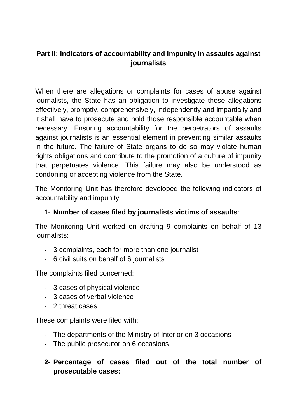## **Part II: Indicators of accountability and impunity in assaults against journalists**

When there are allegations or complaints for cases of abuse against journalists, the State has an obligation to investigate these allegations effectively, promptly, comprehensively, independently and impartially and it shall have to prosecute and hold those responsible accountable when necessary. Ensuring accountability for the perpetrators of assaults against journalists is an essential element in preventing similar assaults in the future. The failure of State organs to do so may violate human rights obligations and contribute to the promotion of a culture of impunity that perpetuates violence. This failure may also be understood as condoning or accepting violence from the State.

The Monitoring Unit has therefore developed the following indicators of accountability and impunity:

## 1- **Number of cases filed by journalists victims of assaults**:

The Monitoring Unit worked on drafting 9 complaints on behalf of 13 journalists:

- 3 complaints, each for more than one journalist
- 6 civil suits on behalf of 6 journalists

The complaints filed concerned:

- 3 cases of physical violence
- 3 cases of verbal violence
- 2 threat cases

These complaints were filed with:

- The departments of the Ministry of Interior on 3 occasions
- The public prosecutor on 6 occasions

## **2- Percentage of cases filed out of the total number of prosecutable cases:**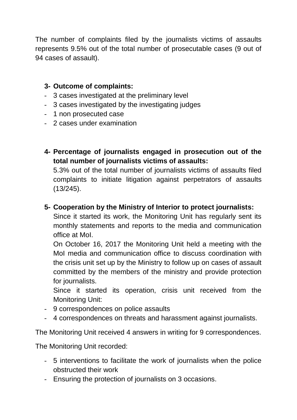The number of complaints filed by the journalists victims of assaults represents 9.5% out of the total number of prosecutable cases (9 out of 94 cases of assault).

## **3- Outcome of complaints:**

- 3 cases investigated at the preliminary level
- 3 cases investigated by the investigating judges
- 1 non prosecuted case
- 2 cases under examination
- **4- Percentage of journalists engaged in prosecution out of the total number of journalists victims of assaults:**

5.3% out of the total number of journalists victims of assaults filed complaints to initiate litigation against perpetrators of assaults (13/245).

## **5- Cooperation by the Ministry of Interior to protect journalists:**

Since it started its work, the Monitoring Unit has regularly sent its monthly statements and reports to the media and communication office at MoI.

On October 16, 2017 the Monitoring Unit held a meeting with the MoI media and communication office to discuss coordination with the crisis unit set up by the Ministry to follow up on cases of assault committed by the members of the ministry and provide protection for journalists.

Since it started its operation, crisis unit received from the Monitoring Unit:

- 9 correspondences on police assaults
- 4 correspondences on threats and harassment against journalists.

The Monitoring Unit received 4 answers in writing for 9 correspondences.

The Monitoring Unit recorded:

- 5 interventions to facilitate the work of journalists when the police obstructed their work
- Ensuring the protection of journalists on 3 occasions.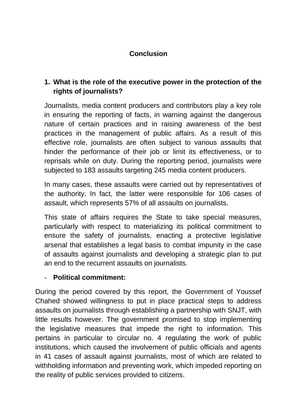## **Conclusion**

## **1. What is the role of the executive power in the protection of the rights of journalists?**

Journalists, media content producers and contributors play a key role in ensuring the reporting of facts, in warning against the dangerous nature of certain practices and in raising awareness of the best practices in the management of public affairs. As a result of this effective role, journalists are often subject to various assaults that hinder the performance of their job or limit its effectiveness, or to reprisals while on duty. During the reporting period, journalists were subjected to 183 assaults targeting 245 media content producers.

In many cases, these assaults were carried out by representatives of the authority. In fact, the latter were responsible for 106 cases of assault, which represents 57% of all assaults on journalists.

This state of affairs requires the State to take special measures, particularly with respect to materializing its political commitment to ensure the safety of journalists, enacting a protective legislative arsenal that establishes a legal basis to combat impunity in the case of assaults against journalists and developing a strategic plan to put an end to the recurrent assaults on journalists.

### - **Political commitment:**

During the period covered by this report, the Government of Youssef Chahed showed willingness to put in place practical steps to address assaults on journalists through establishing a partnership with SNJT, with little results however. The government promised to stop implementing the legislative measures that impede the right to information. This pertains in particular to circular no. 4 regulating the work of public institutions, which caused the involvement of public officials and agents in 41 cases of assault against journalists, most of which are related to withholding information and preventing work, which impeded reporting on the reality of public services provided to citizens.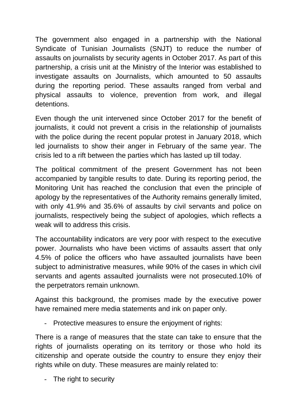The government also engaged in a partnership with the National Syndicate of Tunisian Journalists (SNJT) to reduce the number of assaults on journalists by security agents in October 2017. As part of this partnership, a crisis unit at the Ministry of the Interior was established to investigate assaults on Journalists, which amounted to 50 assaults during the reporting period. These assaults ranged from verbal and physical assaults to violence, prevention from work, and illegal detentions.

Even though the unit intervened since October 2017 for the benefit of journalists, it could not prevent a crisis in the relationship of journalists with the police during the recent popular protest in January 2018, which led journalists to show their anger in February of the same year. The crisis led to a rift between the parties which has lasted up till today.

The political commitment of the present Government has not been accompanied by tangible results to date. During its reporting period, the Monitoring Unit has reached the conclusion that even the principle of apology by the representatives of the Authority remains generally limited, with only 41.9% and 35.6% of assaults by civil servants and police on journalists, respectively being the subject of apologies, which reflects a weak will to address this crisis.

The accountability indicators are very poor with respect to the executive power. Journalists who have been victims of assaults assert that only 4.5% of police the officers who have assaulted journalists have been subject to administrative measures, while 90% of the cases in which civil servants and agents assaulted journalists were not prosecuted.10% of the perpetrators remain unknown.

Against this background, the promises made by the executive power have remained mere media statements and ink on paper only.

Protective measures to ensure the enjoyment of rights:

There is a range of measures that the state can take to ensure that the rights of journalists operating on its territory or those who hold its citizenship and operate outside the country to ensure they enjoy their rights while on duty. These measures are mainly related to:

- The right to security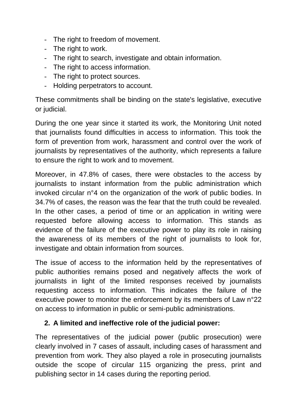- The right to freedom of movement.
- The right to work.
- The right to search, investigate and obtain information.
- The right to access information.
- The right to protect sources.
- Holding perpetrators to account.

These commitments shall be binding on the state's legislative, executive or judicial.

During the one year since it started its work, the Monitoring Unit noted that journalists found difficulties in access to information. This took the form of prevention from work, harassment and control over the work of journalists by representatives of the authority, which represents a failure to ensure the right to work and to movement.

Moreover, in 47.8% of cases, there were obstacles to the access by journalists to instant information from the public administration which invoked circular n°4 on the organization of the work of public bodies. In 34.7% of cases, the reason was the fear that the truth could be revealed. In the other cases, a period of time or an application in writing were requested before allowing access to information. This stands as evidence of the failure of the executive power to play its role in raising the awareness of its members of the right of journalists to look for, investigate and obtain information from sources.

The issue of access to the information held by the representatives of public authorities remains posed and negatively affects the work of journalists in light of the limited responses received by journalists requesting access to information. This indicates the failure of the executive power to monitor the enforcement by its members of Law n°22 on access to information in public or semi-public administrations.

### **2. A limited and ineffective role of the judicial power:**

The representatives of the judicial power (public prosecution) were clearly involved in 7 cases of assault, including cases of harassment and prevention from work. They also played a role in prosecuting journalists outside the scope of circular 115 organizing the press, print and publishing sector in 14 cases during the reporting period.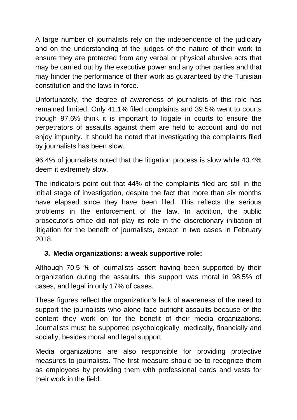A large number of journalists rely on the independence of the judiciary and on the understanding of the judges of the nature of their work to ensure they are protected from any verbal or physical abusive acts that may be carried out by the executive power and any other parties and that may hinder the performance of their work as guaranteed by the Tunisian constitution and the laws in force.

Unfortunately, the degree of awareness of journalists of this role has remained limited. Only 41.1% filed complaints and 39.5% went to courts though 97.6% think it is important to litigate in courts to ensure the perpetrators of assaults against them are held to account and do not enjoy impunity. It should be noted that investigating the complaints filed by journalists has been slow.

96.4% of journalists noted that the litigation process is slow while 40.4% deem it extremely slow.

The indicators point out that 44% of the complaints filed are still in the initial stage of investigation, despite the fact that more than six months have elapsed since they have been filed. This reflects the serious problems in the enforcement of the law. In addition, the public prosecutor's office did not play its role in the discretionary initiation of litigation for the benefit of journalists, except in two cases in February 2018.

### **3. Media organizations: a weak supportive role:**

Although 70.5 % of journalists assert having been supported by their organization during the assaults, this support was moral in 98.5% of cases, and legal in only 17% of cases.

These figures reflect the organization's lack of awareness of the need to support the journalists who alone face outright assaults because of the content they work on for the benefit of their media organizations. Journalists must be supported psychologically, medically, financially and socially, besides moral and legal support.

Media organizations are also responsible for providing protective measures to journalists. The first measure should be to recognize them as employees by providing them with professional cards and vests for their work in the field.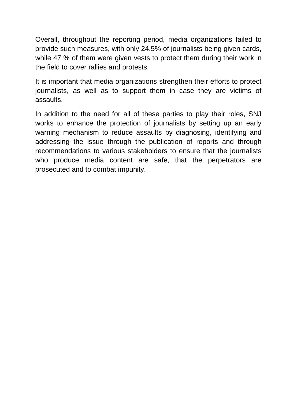Overall, throughout the reporting period, media organizations failed to provide such measures, with only 24.5% of journalists being given cards, while 47 % of them were given vests to protect them during their work in the field to cover rallies and protests.

It is important that media organizations strengthen their efforts to protect journalists, as well as to support them in case they are victims of assaults.

In addition to the need for all of these parties to play their roles, SNJ works to enhance the protection of journalists by setting up an early warning mechanism to reduce assaults by diagnosing, identifying and addressing the issue through the publication of reports and through recommendations to various stakeholders to ensure that the journalists who produce media content are safe, that the perpetrators are prosecuted and to combat impunity.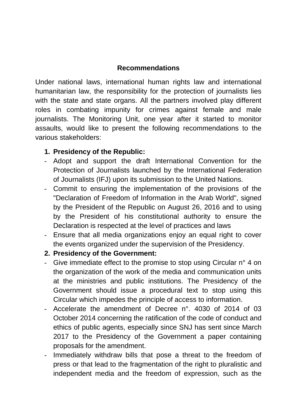### **Recommendations**

Under national laws, international human rights law and international humanitarian law, the responsibility for the protection of journalists lies with the state and state organs. All the partners involved play different roles in combating impunity for crimes against female and male journalists. The Monitoring Unit, one year after it started to monitor assaults, would like to present the following recommendations to the various stakeholders:

### **1. Presidency of the Republic:**

- Adopt and support the draft International Convention for the Protection of Journalists launched by the International Federation of Journalists (IFJ) upon its submission to the United Nations.
- Commit to ensuring the implementation of the provisions of the "Declaration of Freedom of Information in the Arab World", signed by the President of the Republic on August 26, 2016 and to using by the President of his constitutional authority to ensure the Declaration is respected at the level of practices and laws
- Ensure that all media organizations enjoy an equal right to cover the events organized under the supervision of the Presidency.

### **2. Presidency of the Government:**

- Give immediate effect to the promise to stop using Circular  $n^{\circ}$  4 on the organization of the work of the media and communication units at the ministries and public institutions. The Presidency of the Government should issue a procedural text to stop using this Circular which impedes the principle of access to information.
- Accelerate the amendment of Decree n°. 4030 of 2014 of 03 October 2014 concerning the ratification of the code of conduct and ethics of public agents, especially since SNJ has sent since March 2017 to the Presidency of the Government a paper containing proposals for the amendment.
- Immediately withdraw bills that pose a threat to the freedom of press or that lead to the fragmentation of the right to pluralistic and independent media and the freedom of expression, such as the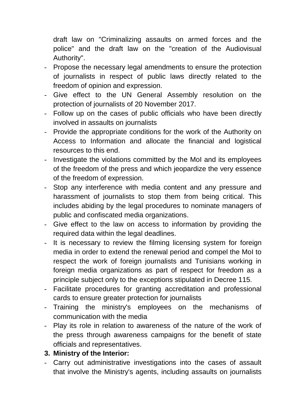draft law on "Criminalizing assaults on armed forces and the police" and the draft law on the "creation of the Audiovisual Authority".

- Propose the necessary legal amendments to ensure the protection of journalists in respect of public laws directly related to the freedom of opinion and expression.
- Give effect to the UN General Assembly resolution on the protection of journalists of 20 November 2017.
- Follow up on the cases of public officials who have been directly involved in assaults on journalists
- Provide the appropriate conditions for the work of the Authority on Access to Information and allocate the financial and logistical resources to this end.
- Investigate the violations committed by the MoI and its employees of the freedom of the press and which jeopardize the very essence of the freedom of expression.
- Stop any interference with media content and any pressure and harassment of journalists to stop them from being critical. This includes abiding by the legal procedures to nominate managers of public and confiscated media organizations.
- Give effect to the law on access to information by providing the required data within the legal deadlines.
- It is necessary to review the filming licensing system for foreign media in order to extend the renewal period and compel the MoI to respect the work of foreign journalists and Tunisians working in foreign media organizations as part of respect for freedom as a principle subject only to the exceptions stipulated in Decree 115.
- Facilitate procedures for granting accreditation and professional cards to ensure greater protection for journalists
- Training the ministry's employees on the mechanisms of communication with the media
- Play its role in relation to awareness of the nature of the work of the press through awareness campaigns for the benefit of state officials and representatives.

### **3. Ministry of the Interior:**

- Carry out administrative investigations into the cases of assault that involve the Ministry's agents, including assaults on journalists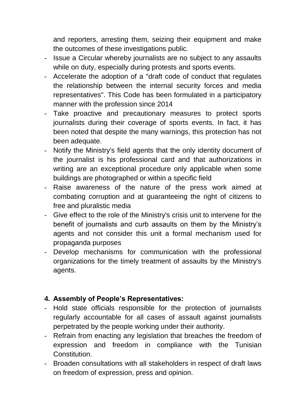and reporters, arresting them, seizing their equipment and make the outcomes of these investigations public.

- Issue a Circular whereby journalists are no subject to any assaults while on duty, especially during protests and sports events.
- Accelerate the adoption of a "draft code of conduct that regulates the relationship between the internal security forces and media representatives". This Code has been formulated in a participatory manner with the profession since 2014
- Take proactive and precautionary measures to protect sports journalists during their coverage of sports events. In fact, it has been noted that despite the many warnings, this protection has not been adequate.
- Notify the Ministry's field agents that the only identity document of the journalist is his professional card and that authorizations in writing are an exceptional procedure only applicable when some buildings are photographed or within a specific field
- Raise awareness of the nature of the press work aimed at combating corruption and at guaranteeing the right of citizens to free and pluralistic media
- Give effect to the role of the Ministry's crisis unit to intervene for the benefit of journalists and curb assaults on them by the Ministry's agents and not consider this unit a formal mechanism used for propaganda purposes
- Develop mechanisms for communication with the professional organizations for the timely treatment of assaults by the Ministry's agents.

## **4. Assembly of People's Representatives:**

- Hold state officials responsible for the protection of journalists regularly accountable for all cases of assault against journalists perpetrated by the people working under their authority.
- Refrain from enacting any legislation that breaches the freedom of expression and freedom in compliance with the Tunisian **Constitution**
- Broaden consultations with all stakeholders in respect of draft laws on freedom of expression, press and opinion.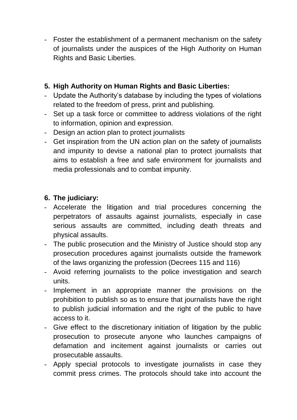- Foster the establishment of a permanent mechanism on the safety of journalists under the auspices of the High Authority on Human Rights and Basic Liberties.

## **5. High Authority on Human Rights and Basic Liberties:**

- Update the Authority's database by including the types of violations related to the freedom of press, print and publishing.
- Set up a task force or committee to address violations of the right to information, opinion and expression.
- Design an action plan to protect journalists
- Get inspiration from the UN action plan on the safety of journalists and impunity to devise a national plan to protect journalists that aims to establish a free and safe environment for journalists and media professionals and to combat impunity.

## **6. The judiciary:**

- Accelerate the litigation and trial procedures concerning the perpetrators of assaults against journalists, especially in case serious assaults are committed, including death threats and physical assaults.
- The public prosecution and the Ministry of Justice should stop any prosecution procedures against journalists outside the framework of the laws organizing the profession (Decrees 115 and 116)
- Avoid referring journalists to the police investigation and search units.
- Implement in an appropriate manner the provisions on the prohibition to publish so as to ensure that journalists have the right to publish judicial information and the right of the public to have access to it.
- Give effect to the discretionary initiation of litigation by the public prosecution to prosecute anyone who launches campaigns of defamation and incitement against journalists or carries out prosecutable assaults.
- Apply special protocols to investigate journalists in case they commit press crimes. The protocols should take into account the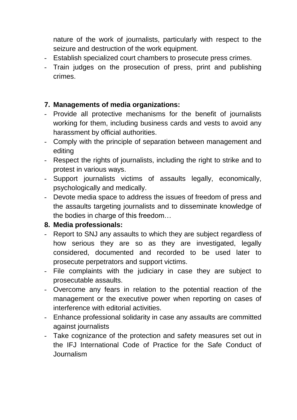nature of the work of journalists, particularly with respect to the seizure and destruction of the work equipment.

- Establish specialized court chambers to prosecute press crimes.
- Train judges on the prosecution of press, print and publishing crimes.

#### **7. Managements of media organizations:**

- Provide all protective mechanisms for the benefit of journalists working for them, including business cards and vests to avoid any harassment by official authorities.
- Comply with the principle of separation between management and editing
- Respect the rights of journalists, including the right to strike and to protest in various ways.
- Support journalists victims of assaults legally, economically, psychologically and medically.
- Devote media space to address the issues of freedom of press and the assaults targeting journalists and to disseminate knowledge of the bodies in charge of this freedom…

#### **8. Media professionals:**

- Report to SNJ any assaults to which they are subject regardless of how serious they are so as they are investigated, legally considered, documented and recorded to be used later to prosecute perpetrators and support victims.
- File complaints with the judiciary in case they are subject to prosecutable assaults.
- Overcome any fears in relation to the potential reaction of the management or the executive power when reporting on cases of interference with editorial activities.
- Enhance professional solidarity in case any assaults are committed against journalists
- Take cognizance of the protection and safety measures set out in the IFJ International Code of Practice for the Safe Conduct of Journalism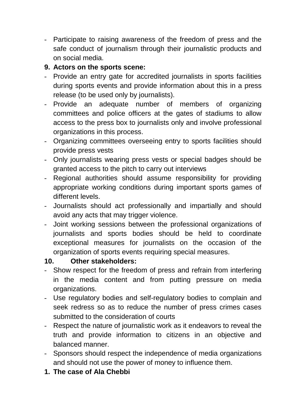- Participate to raising awareness of the freedom of press and the safe conduct of journalism through their journalistic products and on social media.

## **9. Actors on the sports scene:**

- Provide an entry gate for accredited journalists in sports facilities during sports events and provide information about this in a press release (to be used only by journalists).
- Provide an adequate number of members of organizing committees and police officers at the gates of stadiums to allow access to the press box to journalists only and involve professional organizations in this process.
- Organizing committees overseeing entry to sports facilities should provide press vests
- Only journalists wearing press vests or special badges should be granted access to the pitch to carry out interviews
- Regional authorities should assume responsibility for providing appropriate working conditions during important sports games of different levels.
- Journalists should act professionally and impartially and should avoid any acts that may trigger violence.
- Joint working sessions between the professional organizations of journalists and sports bodies should be held to coordinate exceptional measures for journalists on the occasion of the organization of sports events requiring special measures.

### **10. Other stakeholders:**

- Show respect for the freedom of press and refrain from interfering in the media content and from putting pressure on media organizations.
- Use regulatory bodies and self-regulatory bodies to complain and seek redress so as to reduce the number of press crimes cases submitted to the consideration of courts
- Respect the nature of journalistic work as it endeavors to reveal the truth and provide information to citizens in an objective and balanced manner.
- Sponsors should respect the independence of media organizations and should not use the power of money to influence them.
- **1. The case of Ala Chebbi**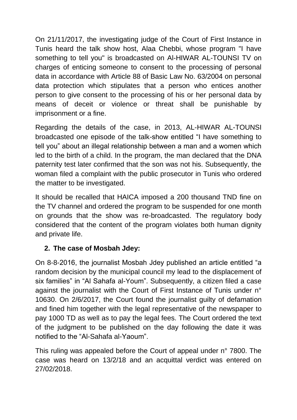On 21/11/2017, the investigating judge of the Court of First Instance in Tunis heard the talk show host, Alaa Chebbi, whose program "I have something to tell you" is broadcasted on Al-HIWAR AL-TOUNSI TV on charges of enticing someone to consent to the processing of personal data in accordance with Article 88 of Basic Law No. 63/2004 on personal data protection which stipulates that a person who entices another person to give consent to the processing of his or her personal data by means of deceit or violence or threat shall be punishable by imprisonment or a fine.

Regarding the details of the case, in 2013, AL-HIWAR AL-TOUNSI broadcasted one episode of the talk-show entitled "I have something to tell you" about an illegal relationship between a man and a women which led to the birth of a child. In the program, the man declared that the DNA paternity test later confirmed that the son was not his. Subsequently, the woman filed a complaint with the public prosecutor in Tunis who ordered the matter to be investigated.

It should be recalled that HAICA imposed a 200 thousand TND fine on the TV channel and ordered the program to be suspended for one month on grounds that the show was re-broadcasted. The regulatory body considered that the content of the program violates both human dignity and private life.

## **2. The case of Mosbah Jdey:**

On 8-8-2016, the journalist Mosbah Jdey published an article entitled "a random decision by the municipal council my lead to the displacement of six families" in "Al Sahafa al-Youm". Subsequently, a citizen filed a case against the journalist with the Court of First Instance of Tunis under n° 10630. On 2/6/2017, the Court found the journalist guilty of defamation and fined him together with the legal representative of the newspaper to pay 1000 TD as well as to pay the legal fees. The Court ordered the text of the judgment to be published on the day following the date it was notified to the "Al-Sahafa al-Yaoum".

This ruling was appealed before the Court of appeal under n° 7800. The case was heard on 13/2/18 and an acquittal verdict was entered on 27/02/2018.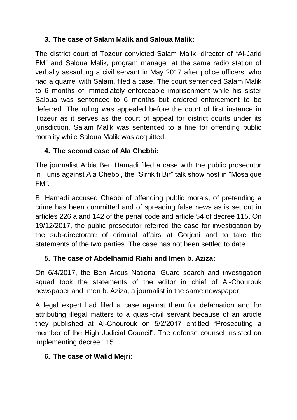# **3. The case of Salam Malik and Saloua Malik:**

The district court of Tozeur convicted Salam Malik, director of "Al-Jarid FM" and Saloua Malik, program manager at the same radio station of verbally assaulting a civil servant in May 2017 after police officers, who had a quarrel with Salam, filed a case. The court sentenced Salam Malik to 6 months of immediately enforceable imprisonment while his sister Saloua was sentenced to 6 months but ordered enforcement to be deferred. The ruling was appealed before the court of first instance in Tozeur as it serves as the court of appeal for district courts under its jurisdiction. Salam Malik was sentenced to a fine for offending public morality while Saloua Malik was acquitted.

# **4. The second case of Ala Chebbi:**

The journalist Arbia Ben Hamadi filed a case with the public prosecutor in Tunis against Ala Chebbi, the "Sirrik fi Bir" talk show host in "Mosaique FM".

B. Hamadi accused Chebbi of offending public morals, of pretending a crime has been committed and of spreading false news as is set out in articles 226 a and 142 of the penal code and article 54 of decree 115. On 19/12/2017, the public prosecutor referred the case for investigation by the sub-directorate of criminal affairs at Gorjeni and to take the statements of the two parties. The case has not been settled to date.

# **5. The case of Abdelhamid Riahi and Imen b. Aziza:**

On 6/4/2017, the Ben Arous National Guard search and investigation squad took the statements of the editor in chief of Al-Chourouk newspaper and Imen b. Aziza, a journalist in the same newspaper.

A legal expert had filed a case against them for defamation and for attributing illegal matters to a quasi-civil servant because of an article they published at Al-Chourouk on 5/2/2017 entitled "Prosecuting a member of the High Judicial Council". The defense counsel insisted on implementing decree 115.

# **6. The case of Walid Mejri:**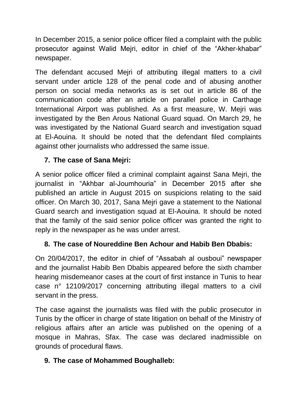In December 2015, a senior police officer filed a complaint with the public prosecutor against Walid Mejri, editor in chief of the "Akher-khabar" newspaper.

The defendant accused Mejri of attributing illegal matters to a civil servant under article 128 of the penal code and of abusing another person on social media networks as is set out in article 86 of the communication code after an article on parallel police in Carthage International Airport was published. As a first measure, W. Mejri was investigated by the Ben Arous National Guard squad. On March 29, he was investigated by the National Guard search and investigation squad at El-Aouina. It should be noted that the defendant filed complaints against other journalists who addressed the same issue.

## **7. The case of Sana Mejri:**

A senior police officer filed a criminal complaint against Sana Mejri, the journalist in "Akhbar al-Joumhouria" in December 2015 after she published an article in August 2015 on suspicions relating to the said officer. On March 30, 2017, Sana Mejri gave a statement to the National Guard search and investigation squad at El-Aouina. It should be noted that the family of the said senior police officer was granted the right to reply in the newspaper as he was under arrest.

## **8. The case of Noureddine Ben Achour and Habib Ben Dbabis:**

On 20/04/2017, the editor in chief of "Assabah al ousboui" newspaper and the journalist Habib Ben Dbabis appeared before the sixth chamber hearing misdemeanor cases at the court of first instance in Tunis to hear case n° 12109/2017 concerning attributing illegal matters to a civil servant in the press.

The case against the journalists was filed with the public prosecutor in Tunis by the officer in charge of state litigation on behalf of the Ministry of religious affairs after an article was published on the opening of a mosque in Mahras, Sfax. The case was declared inadmissible on grounds of procedural flaws.

### **9. The case of Mohammed Boughalleb:**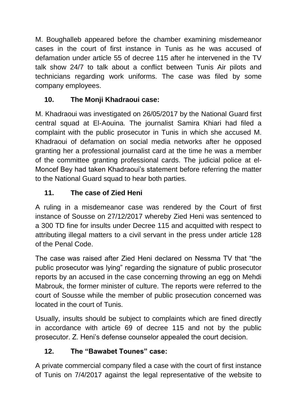M. Boughalleb appeared before the chamber examining misdemeanor cases in the court of first instance in Tunis as he was accused of defamation under article 55 of decree 115 after he intervened in the TV talk show 24/7 to talk about a conflict between Tunis Air pilots and technicians regarding work uniforms. The case was filed by some company employees.

# **10. The Monji Khadraoui case:**

M. Khadraoui was investigated on 26/05/2017 by the National Guard first central squad at El-Aouina. The journalist Samira Khiari had filed a complaint with the public prosecutor in Tunis in which she accused M. Khadraoui of defamation on social media networks after he opposed granting her a professional journalist card at the time he was a member of the committee granting professional cards. The judicial police at el-Moncef Bey had taken Khadraoui's statement before referring the matter to the National Guard squad to hear both parties.

# **11. The case of Zied Heni**

A ruling in a misdemeanor case was rendered by the Court of first instance of Sousse on 27/12/2017 whereby Zied Heni was sentenced to a 300 TD fine for insults under Decree 115 and acquitted with respect to attributing illegal matters to a civil servant in the press under article 128 of the Penal Code.

The case was raised after Zied Heni declared on Nessma TV that "the public prosecutor was lying" regarding the signature of public prosecutor reports by an accused in the case concerning throwing an egg on Mehdi Mabrouk, the former minister of culture. The reports were referred to the court of Sousse while the member of public prosecution concerned was located in the court of Tunis.

Usually, insults should be subject to complaints which are fined directly in accordance with article 69 of decree 115 and not by the public prosecutor. Z. Heni's defense counselor appealed the court decision.

# **12. The "Bawabet Tounes" case:**

A private commercial company filed a case with the court of first instance of Tunis on 7/4/2017 against the legal representative of the website to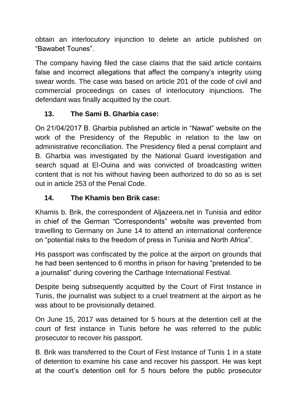obtain an interlocutory injunction to delete an article published on "Bawabet Tounes".

The company having filed the case claims that the said article contains false and incorrect allegations that affect the company's integrity using swear words. The case was based on article 201 of the code of civil and commercial proceedings on cases of interlocutory injunctions. The defendant was finally acquitted by the court.

# **13. The Sami B. Gharbia case:**

On 21/04/2017 B. Gharbia published an article in "Nawat" website on the work of the Presidency of the Republic in relation to the law on administrative reconciliation. The Presidency filed a penal complaint and B. Gharbia was investigated by the National Guard investigation and search squad at El-Ouina and was convicted of broadcasting written content that is not his without having been authorized to do so as is set out in article 253 of the Penal Code.

## **14. The Khamis ben Brik case:**

Khamis b. Brik, the correspondent of Aljazeera.net in Tunisia and editor in chief of the German "Correspondents" website was prevented from travelling to Germany on June 14 to attend an international conference on "potential risks to the freedom of press in Tunisia and North Africa".

His passport was confiscated by the police at the airport on grounds that he had been sentenced to 6 months in prison for having "pretended to be a journalist" during covering the Carthage International Festival.

Despite being subsequently acquitted by the Court of First Instance in Tunis, the journalist was subject to a cruel treatment at the airport as he was about to be provisionally detained.

On June 15, 2017 was detained for 5 hours at the detention cell at the court of first instance in Tunis before he was referred to the public prosecutor to recover his passport.

B. Brik was transferred to the Court of First Instance of Tunis 1 in a state of detention to examine his case and recover his passport. He was kept at the court's detention cell for 5 hours before the public prosecutor